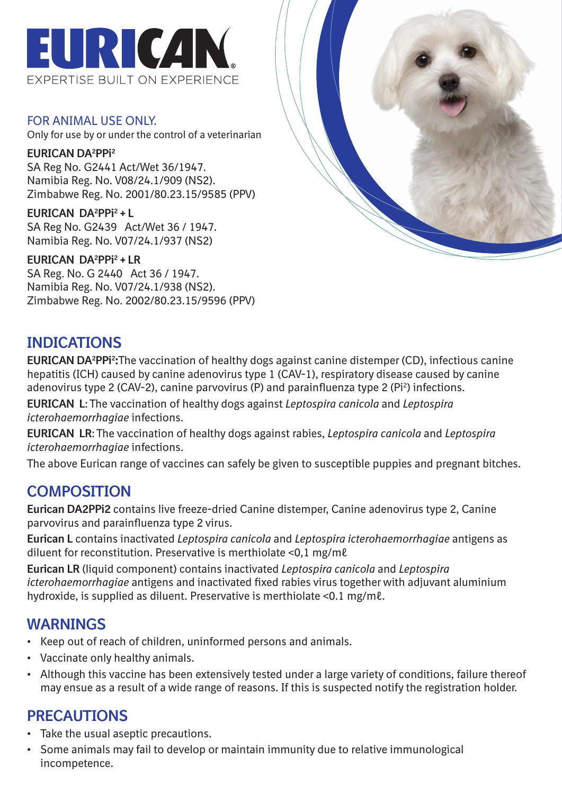

FOR ANIMAL USE ONLY. Only for use by or under the control of a veterinarian

**EURICAN DA2 PPi2** SA Reg No. G2441 Act/Wet 36/1947. Namibia Reg. No. V08/24.1/909 (NS2). Zimbabwe Reg. No. 2001/80.23.15/9585 (PPV)

**EURICAN DA2 PPi2 + L** SA Reg No. G2439 Act/Wet 36 / 1947. Namibia Reg. No. V07/24.1/937 (NS2)

**EURICAN DA2 PPi2 + LR** SA Reg. No. G 2440 Act 36 / 1947. Namibia Reg. No. V07/24.1/938 (NS2). Zimbabwe Reg. No. 2002/80.23.15/9596 (PPV)



# **INDICATIONS**

**EURICAN DA<sup>2</sup>PPi<sup>2</sup>:**The vaccination of healthy dogs against canine distemper (CD), infectious canine hepatitis (ICH) caused by canine adenovirus type 1 (CAV-1), respiratory disease caused by canine adenovirus type 2 (CAV-2), canine parvovirus (P) and parainfluenza type 2 (Pi<sup>2</sup>) infections.

**EURICAN L**: The vaccination of healthy dogs against *Leptospira canicola* and *Leptospira icterohaemorrhagiae* infections.

**EURICAN LR**: The vaccination of healthy dogs against rabies, *Leptospira canicola* and *Leptospira icterohaemorrhagiae* infections.

The above Eurican range of vaccines can safely be given to susceptible puppies and pregnant bitches.

# **COMPOSITION**

**Eurican DA2PPi2** contains live freeze-dried Canine distemper, Canine adenovirus type 2, Canine parvovirus and parainfluenza type 2 virus.

**Eurican L** contains inactivated *Leptospira canicola* and *Leptospira icterohaemorrhagiae* antigens as diluent for reconstitution. Preservative is merthiolate <0,1 mg/mℓ

**Eurican LR** (liquid component) contains inactivated *Leptospira canicola* and *Leptospira icterohaemorrhagiae* antigens and inactivated fixed rabies virus together with adjuvant aluminium hydroxide, is supplied as diluent. Preservative is merthiolate <0.1 mg/mℓ.

### **WARNINGS**

- Keep out of reach of children, uninformed persons and animals.
- Vaccinate only healthy animals.
- Although this vaccine has been extensively tested under a large variety of conditions, failure thereof may ensue as a result of a wide range of reasons. If this is suspected notify the registration holder.

# **PRECAUTIONS**

- Take the usual aseptic precautions.
- Some animals may fail to develop or maintain immunity due to relative immunological incompetence.